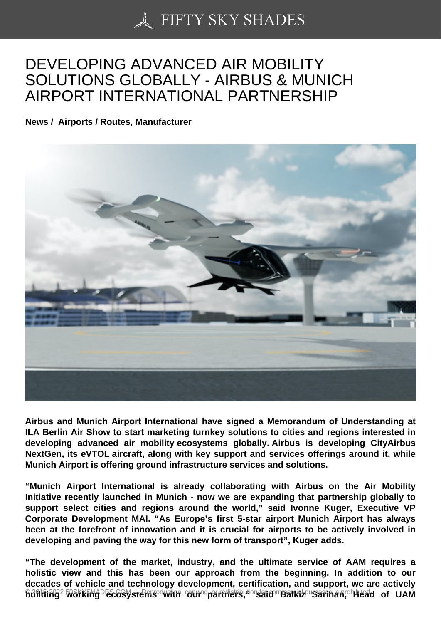## [DEVELOPING ADVAN](https://50skyshades.com)CED AIR MOBILITY SOLUTIONS GLOBALLY - AIRBUS & MUNICH AIRPORT INTERNATIONAL PARTNERSHIP

News / Airports / Routes, Manufacturer

Airbus and Munich Airport International have signed a Memorandum of Understanding at ILA Berlin Air Show to start marketing turnkey solutions to cities and regions interested in developing advanced air mobility ecosystems globally. Airbus is developing CityAirbus NextGen, its eVTOL aircraft, along with key support and services offerings around it, while Munich Airport is offering ground infrastructure services and solutions.

"Munich Airport International is already collaborating with Airbus on the Air Mobility Initiative recently launched in Munich - now we are expanding that partnership globally to support select cities and regions around the world," said Ivonne Kuger, Executive VP Corporate Development MAI. "As Europe's first 5-star airport Munich Airport has always been at the forefront of innovation and it is crucial for airports to be actively involved in developing and paving the way for this new form of transport", Kuger adds.

"The development of the market, industry, and the ultimate service of AAM requires a holistic view and this has been our approach from the beginning. In addition to our decades of vehicle and technology development, certification, and support, we are actively Building<sup>22</sup>working ecosystems envith ot partners, stration Band Band of Balking Same Band Dam <sup>1</sup>